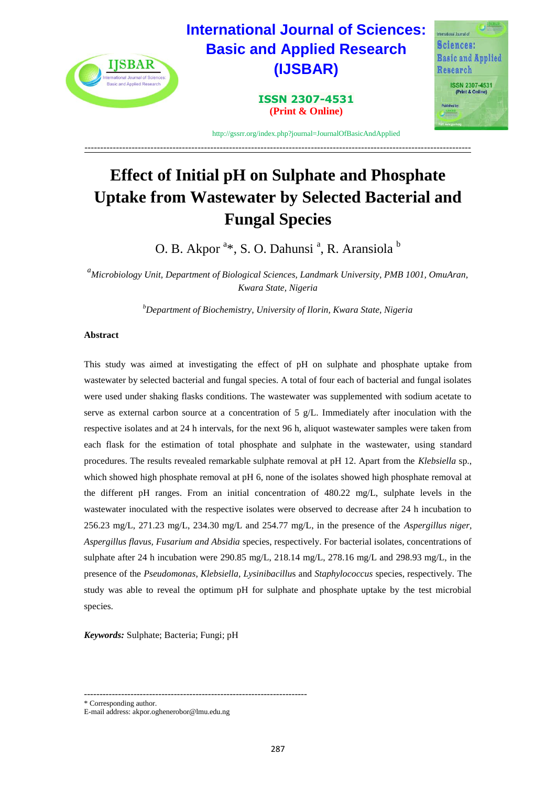

---------------------------------------------------------------------------------------------------------------------------

# **Effect of Initial pH on Sulphate and Phosphate Uptake from Wastewater by Selected Bacterial and Fungal Species**

O. B. Akpor <sup>a\*</sup>, S. O. Dahunsi <sup>a</sup>, R. Aransiola <sup>b</sup>

*<sup>a</sup>Microbiology Unit, Department of Biological Sciences, Landmark University, PMB 1001, OmuAran, Kwara State, Nigeria*

*<sup>b</sup>Department of Biochemistry, University of Ilorin, Kwara State, Nigeria*

## **Abstract**

This study was aimed at investigating the effect of pH on sulphate and phosphate uptake from wastewater by selected bacterial and fungal species. A total of four each of bacterial and fungal isolates were used under shaking flasks conditions. The wastewater was supplemented with sodium acetate to serve as external carbon source at a concentration of 5  $g/L$ . Immediately after inoculation with the respective isolates and at 24 h intervals, for the next 96 h, aliquot wastewater samples were taken from each flask for the estimation of total phosphate and sulphate in the wastewater, using standard procedures. The results revealed remarkable sulphate removal at pH 12. Apart from the *Klebsiella* sp., which showed high phosphate removal at pH 6, none of the isolates showed high phosphate removal at the different pH ranges. From an initial concentration of 480.22 mg/L, sulphate levels in the wastewater inoculated with the respective isolates were observed to decrease after 24 h incubation to 256.23 mg/L, 271.23 mg/L, 234.30 mg/L and 254.77 mg/L, in the presence of the *Aspergillus niger, Aspergillus flavus, Fusarium and Absidia* species, respectively. For bacterial isolates, concentrations of sulphate after 24 h incubation were 290.85 mg/L, 218.14 mg/L, 278.16 mg/L and 298.93 mg/L, in the presence of the *Pseudomonas*, *Klebsiella, Lysinibacillu*s and *Staphylococcus* species, respectively*.* The study was able to reveal the optimum pH for sulphate and phosphate uptake by the test microbial species.

*Keywords:* Sulphate; Bacteria; Fungi; pH

------------------------------------------------------------------------

\* Corresponding author.

E-mail address: akpor.oghenerobor@lmu.edu.ng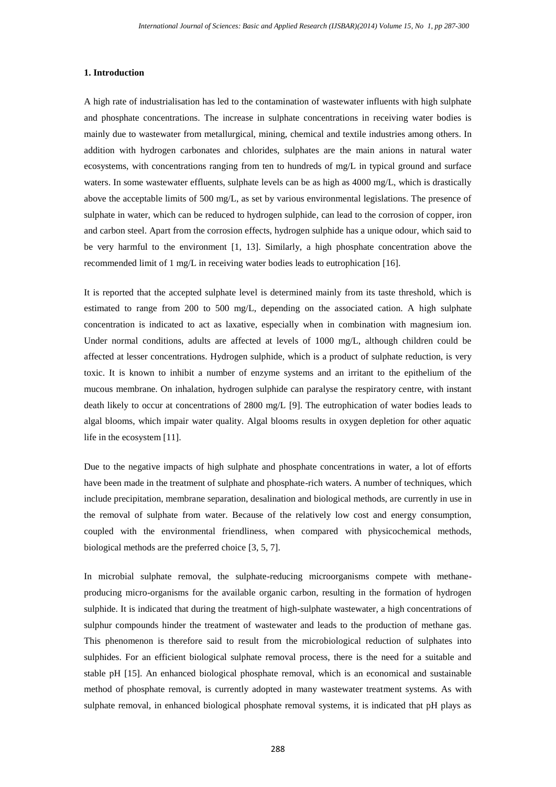#### **1. Introduction**

A high rate of industrialisation has led to the contamination of wastewater influents with high sulphate and phosphate concentrations. The increase in sulphate concentrations in receiving water bodies is mainly due to wastewater from metallurgical, mining, chemical and textile industries among others. In addition with hydrogen carbonates and chlorides, sulphates are the main anions in natural water ecosystems, with concentrations ranging from ten to hundreds of mg/L in typical ground and surface waters. In some wastewater effluents, sulphate levels can be as high as 4000 mg/L, which is drastically above the acceptable limits of 500 mg/L, as set by various environmental legislations. The presence of sulphate in water, which can be reduced to hydrogen sulphide, can lead to the corrosion of copper, iron and carbon steel. Apart from the corrosion effects, hydrogen sulphide has a unique odour, which said to be very harmful to the environment [1, 13]. Similarly, a high phosphate concentration above the recommended limit of 1 mg/L in receiving water bodies leads to eutrophication [16].

It is reported that the accepted sulphate level is determined mainly from its taste threshold, which is estimated to range from 200 to 500 mg/L, depending on the associated cation. A high sulphate concentration is indicated to act as laxative, especially when in combination with magnesium ion. Under normal conditions, adults are affected at levels of 1000 mg/L, although children could be affected at lesser concentrations. Hydrogen sulphide, which is a product of sulphate reduction, is very toxic. It is known to inhibit a number of enzyme systems and an irritant to the epithelium of the mucous membrane. On inhalation, hydrogen sulphide can paralyse the respiratory centre, with instant death likely to occur at concentrations of 2800 mg/L [9]. The eutrophication of water bodies leads to algal blooms, which impair water quality. Algal blooms results in oxygen depletion for other aquatic life in the ecosystem [11].

Due to the negative impacts of high sulphate and phosphate concentrations in water, a lot of efforts have been made in the treatment of sulphate and phosphate-rich waters. A number of techniques, which include precipitation, membrane separation, desalination and biological methods, are currently in use in the removal of sulphate from water. Because of the relatively low cost and energy consumption, coupled with the environmental friendliness, when compared with physicochemical methods, biological methods are the preferred choice [3, 5, 7].

In microbial sulphate removal, the sulphate-reducing microorganisms compete with methaneproducing micro-organisms for the available organic carbon, resulting in the formation of hydrogen sulphide. It is indicated that during the treatment of high-sulphate wastewater, a high concentrations of sulphur compounds hinder the treatment of wastewater and leads to the production of methane gas. This phenomenon is therefore said to result from the microbiological reduction of sulphates into sulphides. For an efficient biological sulphate removal process, there is the need for a suitable and stable pH [15]. An enhanced biological phosphate removal, which is an economical and sustainable method of phosphate removal, is currently adopted in many wastewater treatment systems. As with sulphate removal, in enhanced biological phosphate removal systems, it is indicated that pH plays as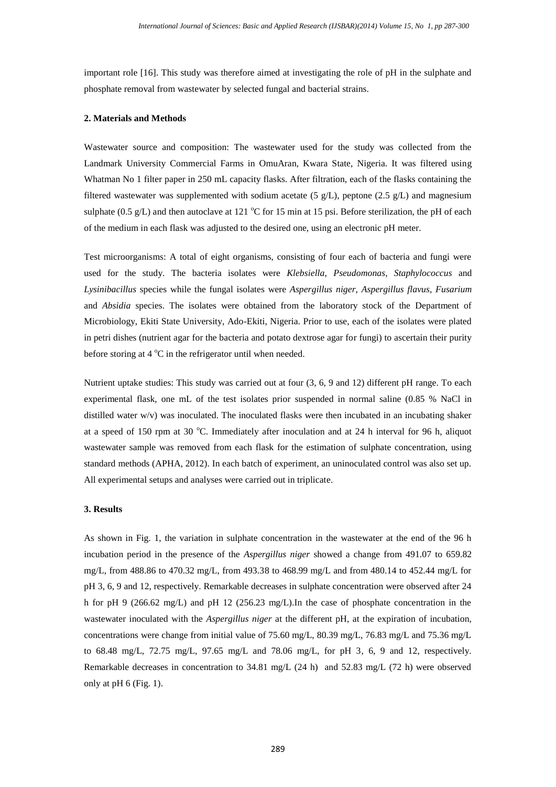important role [16]. This study was therefore aimed at investigating the role of pH in the sulphate and phosphate removal from wastewater by selected fungal and bacterial strains.

### **2. Materials and Methods**

Wastewater source and composition: The wastewater used for the study was collected from the Landmark University Commercial Farms in OmuAran, Kwara State, Nigeria. It was filtered using Whatman No 1 filter paper in 250 mL capacity flasks. After filtration, each of the flasks containing the filtered wastewater was supplemented with sodium acetate (5  $g/L$ ), peptone (2.5  $g/L$ ) and magnesium sulphate (0.5 g/L) and then autoclave at 121  $^{\circ}$ C for 15 min at 15 psi. Before sterilization, the pH of each of the medium in each flask was adjusted to the desired one, using an electronic pH meter.

Test microorganisms: A total of eight organisms, consisting of four each of bacteria and fungi were used for the study. The bacteria isolates were *Klebsiella*, *Pseudomonas*, *Staphylococcus* and *Lysinibacillus* species while the fungal isolates were *Aspergillus niger*, *Aspergillus flavus*, *Fusarium* and *Absidia* species. The isolates were obtained from the laboratory stock of the Department of Microbiology, Ekiti State University, Ado-Ekiti, Nigeria. Prior to use, each of the isolates were plated in petri dishes (nutrient agar for the bacteria and potato dextrose agar for fungi) to ascertain their purity before storing at  $4^{\circ}$ C in the refrigerator until when needed.

Nutrient uptake studies: This study was carried out at four (3, 6, 9 and 12) different pH range. To each experimental flask, one mL of the test isolates prior suspended in normal saline (0.85 % NaCl in distilled water w/v) was inoculated. The inoculated flasks were then incubated in an incubating shaker at a speed of 150 rpm at 30 °C. Immediately after inoculation and at 24 h interval for 96 h, aliquot wastewater sample was removed from each flask for the estimation of sulphate concentration, using standard methods (APHA, 2012). In each batch of experiment, an uninoculated control was also set up. All experimental setups and analyses were carried out in triplicate.

## **3. Results**

As shown in Fig. 1, the variation in sulphate concentration in the wastewater at the end of the 96 h incubation period in the presence of the *Aspergillus niger* showed a change from 491.07 to 659.82 mg/L, from 488.86 to 470.32 mg/L, from 493.38 to 468.99 mg/L and from 480.14 to 452.44 mg/L for pH 3, 6, 9 and 12, respectively. Remarkable decreases in sulphate concentration were observed after 24 h for pH 9 (266.62 mg/L) and pH 12 (256.23 mg/L). In the case of phosphate concentration in the wastewater inoculated with the *Aspergillus niger* at the different pH, at the expiration of incubation, concentrations were change from initial value of 75.60 mg/L, 80.39 mg/L, 76.83 mg/L and 75.36 mg/L to 68.48 mg/L, 72.75 mg/L, 97.65 mg/L and 78.06 mg/L, for pH 3, 6, 9 and 12, respectively. Remarkable decreases in concentration to 34.81 mg/L (24 h) and 52.83 mg/L (72 h) were observed only at pH 6 (Fig. 1).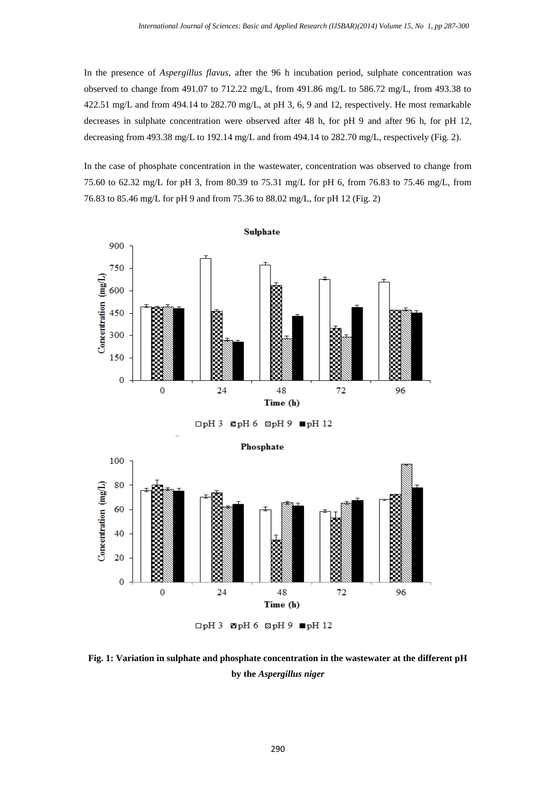In the presence of *Aspergillus flavus*, after the 96 h incubation period, sulphate concentration was observed to change from 491.07 to 712.22 mg/L, from 491.86 mg/L to 586.72 mg/L, from 493.38 to 422.51 mg/L and from 494.14 to 282.70 mg/L, at pH 3, 6, 9 and 12, respectively. He most remarkable decreases in sulphate concentration were observed after 48 h, for pH 9 and after 96 h, for pH 12, decreasing from 493.38 mg/L to 192.14 mg/L and from 494.14 to 282.70 mg/L, respectively (Fig. 2).

In the case of phosphate concentration in the wastewater, concentration was observed to change from 75.60 to 62.32 mg/L for pH 3, from 80.39 to 75.31 mg/L for pH 6, from 76.83 to 75.46 mg/L, from 76.83 to 85.46 mg/L for pH 9 and from 75.36 to 88.02 mg/L, for pH 12 (Fig. 2)



 $\Box$ pH 3  $\Box$ pH 6  $\Box$ pH 9  $\blacksquare$ pH 12



**Fig. 1: Variation in sulphate and phosphate concentration in the wastewater at the different pH by the** *Aspergillus niger*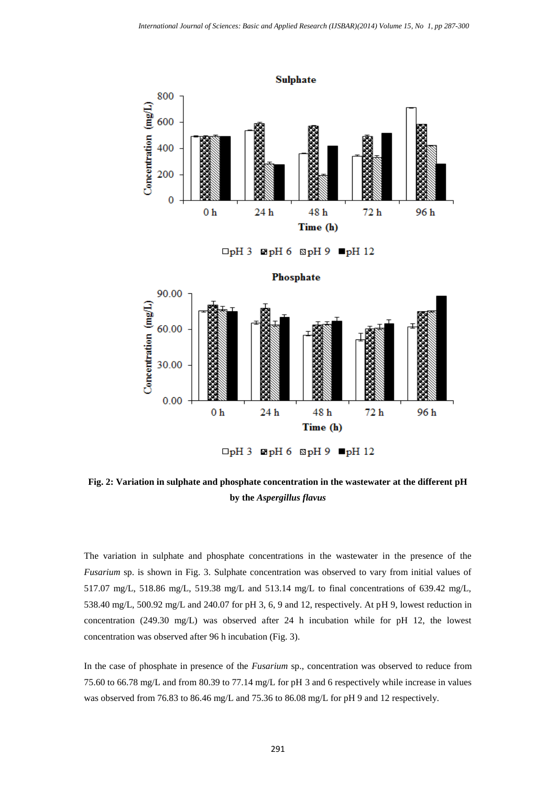

**Fig. 2: Variation in sulphate and phosphate concentration in the wastewater at the different pH by the** *Aspergillus flavus*

The variation in sulphate and phosphate concentrations in the wastewater in the presence of the *Fusarium* sp. is shown in Fig. 3. Sulphate concentration was observed to vary from initial values of 517.07 mg/L, 518.86 mg/L, 519.38 mg/L and 513.14 mg/L to final concentrations of 639.42 mg/L, 538.40 mg/L, 500.92 mg/L and 240.07 for pH 3, 6, 9 and 12, respectively. At pH 9, lowest reduction in concentration (249.30 mg/L) was observed after 24 h incubation while for pH 12, the lowest concentration was observed after 96 h incubation (Fig. 3).

In the case of phosphate in presence of the *Fusarium* sp., concentration was observed to reduce from 75.60 to 66.78 mg/L and from 80.39 to 77.14 mg/L for pH 3 and 6 respectively while increase in values was observed from 76.83 to 86.46 mg/L and 75.36 to 86.08 mg/L for pH 9 and 12 respectively.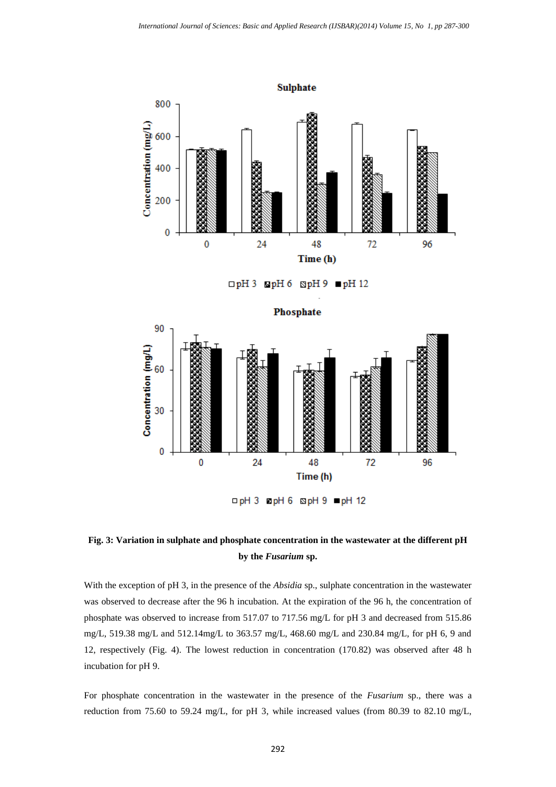

 $\Box$ pH 3  $\Box$ pH 6  $\Box$ pH 9  $\Box$ pH 12



# **Fig. 3: Variation in sulphate and phosphate concentration in the wastewater at the different pH by the** *Fusarium* **sp.**

With the exception of pH 3, in the presence of the *Absidia* sp., sulphate concentration in the wastewater was observed to decrease after the 96 h incubation. At the expiration of the 96 h, the concentration of phosphate was observed to increase from 517.07 to 717.56 mg/L for pH 3 and decreased from 515.86 mg/L, 519.38 mg/L and 512.14mg/L to 363.57 mg/L, 468.60 mg/L and 230.84 mg/L, for pH 6, 9 and 12, respectively (Fig. 4). The lowest reduction in concentration (170.82) was observed after 48 h incubation for pH 9.

For phosphate concentration in the wastewater in the presence of the *Fusarium* sp., there was a reduction from 75.60 to 59.24 mg/L, for pH 3, while increased values (from 80.39 to 82.10 mg/L,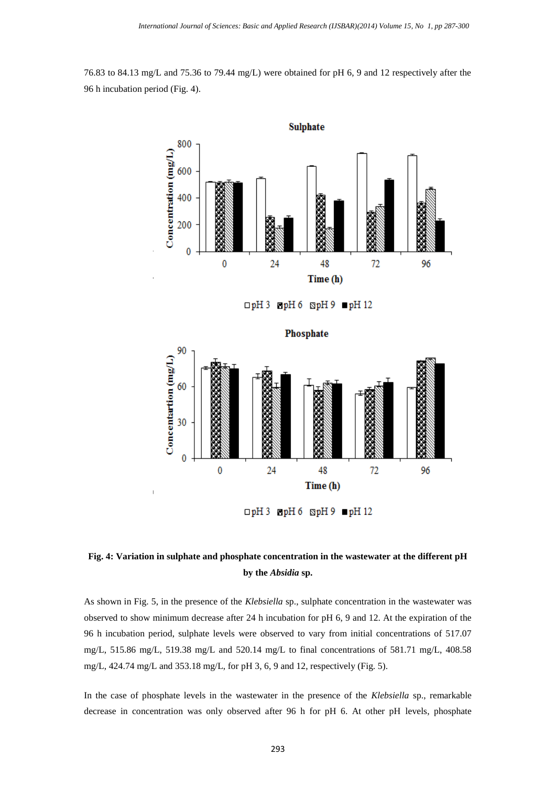76.83 to 84.13 mg/L and 75.36 to 79.44 mg/L) were obtained for pH 6, 9 and 12 respectively after the 96 h incubation period (Fig. 4).



□pH 3 ■pH 6 SpH 9 ■pH 12



**Fig. 4: Variation in sulphate and phosphate concentration in the wastewater at the different pH by the** *Absidia* **sp.**

As shown in Fig. 5, in the presence of the *Klebsiella* sp., sulphate concentration in the wastewater was observed to show minimum decrease after 24 h incubation for pH 6, 9 and 12. At the expiration of the 96 h incubation period, sulphate levels were observed to vary from initial concentrations of 517.07 mg/L, 515.86 mg/L, 519.38 mg/L and 520.14 mg/L to final concentrations of 581.71 mg/L, 408.58 mg/L, 424.74 mg/L and 353.18 mg/L, for pH 3, 6, 9 and 12, respectively (Fig. 5).

In the case of phosphate levels in the wastewater in the presence of the *Klebsiella* sp., remarkable decrease in concentration was only observed after 96 h for pH 6. At other pH levels, phosphate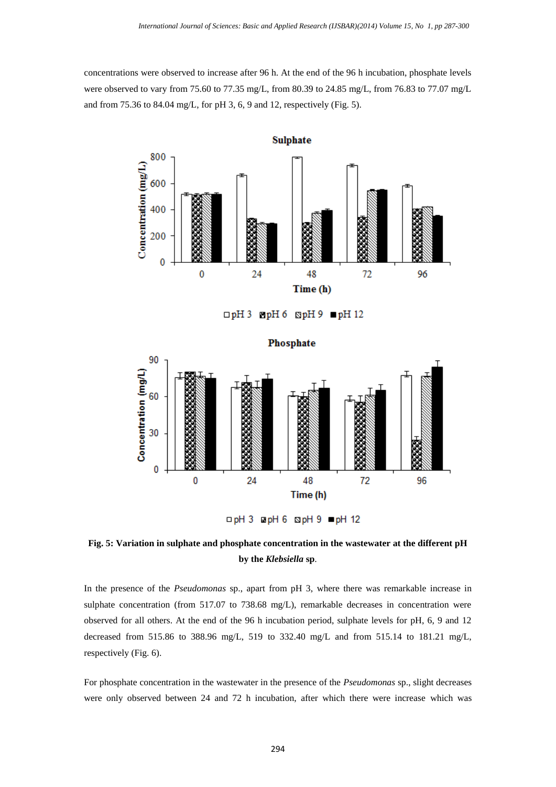concentrations were observed to increase after 96 h. At the end of the 96 h incubation, phosphate levels were observed to vary from 75.60 to 77.35 mg/L, from 80.39 to 24.85 mg/L, from 76.83 to 77.07 mg/L and from 75.36 to 84.04 mg/L, for pH 3, 6, 9 and 12, respectively (Fig. 5).



 $\Box$ pH 3  $\Box$ pH 6  $\Box$ pH 9  $\Box$ pH 12

Phosphate



□ pH 3 □ pH 6 □ pH 9 ■ pH 12

**Fig. 5: Variation in sulphate and phosphate concentration in the wastewater at the different pH by the** *Klebsiella* **sp**.

In the presence of the *Pseudomonas* sp., apart from pH 3, where there was remarkable increase in sulphate concentration (from 517.07 to 738.68 mg/L), remarkable decreases in concentration were observed for all others. At the end of the 96 h incubation period, sulphate levels for pH, 6, 9 and 12 decreased from 515.86 to 388.96 mg/L, 519 to 332.40 mg/L and from 515.14 to 181.21 mg/L, respectively (Fig. 6).

For phosphate concentration in the wastewater in the presence of the *Pseudomonas* sp., slight decreases were only observed between 24 and 72 h incubation, after which there were increase which was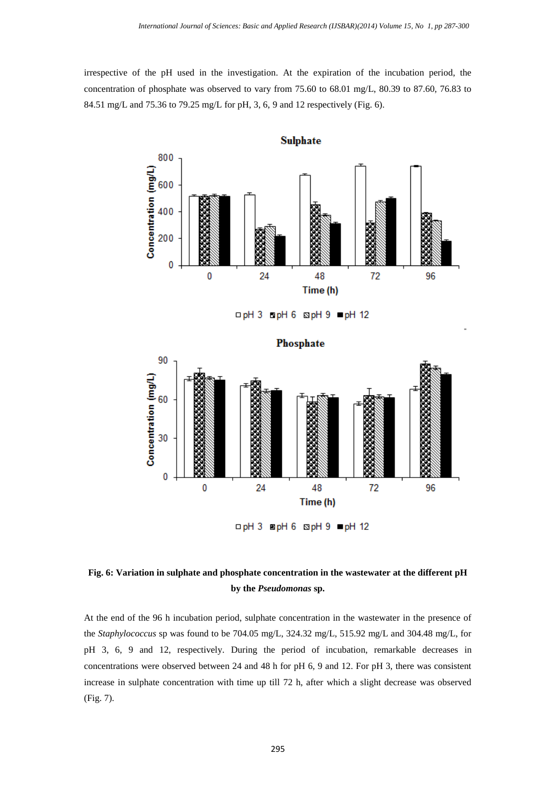irrespective of the pH used in the investigation. At the expiration of the incubation period, the concentration of phosphate was observed to vary from 75.60 to 68.01 mg/L, 80.39 to 87.60, 76.83 to 84.51 mg/L and 75.36 to 79.25 mg/L for pH, 3, 6, 9 and 12 respectively (Fig. 6).



**Fig. 6: Variation in sulphate and phosphate concentration in the wastewater at the different pH by the** *Pseudomonas* **sp.**

At the end of the 96 h incubation period, sulphate concentration in the wastewater in the presence of the *Staphylococcus* sp was found to be 704.05 mg/L, 324.32 mg/L, 515.92 mg/L and 304.48 mg/L, for pH 3, 6, 9 and 12, respectively. During the period of incubation, remarkable decreases in concentrations were observed between 24 and 48 h for pH 6, 9 and 12. For pH 3, there was consistent increase in sulphate concentration with time up till 72 h, after which a slight decrease was observed (Fig. 7).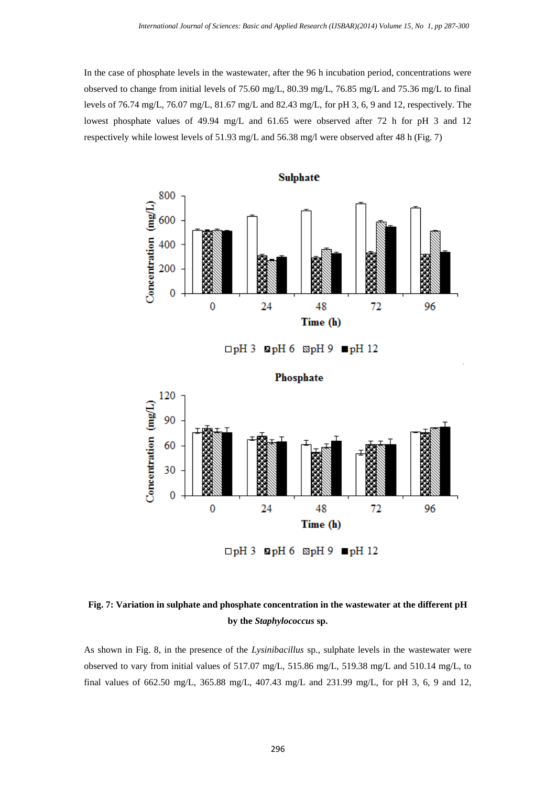In the case of phosphate levels in the wastewater, after the 96 h incubation period, concentrations were observed to change from initial levels of 75.60 mg/L, 80.39 mg/L, 76.85 mg/L and 75.36 mg/L to final levels of 76.74 mg/L, 76.07 mg/L, 81.67 mg/L and 82.43 mg/L, for pH 3, 6, 9 and 12, respectively. The lowest phosphate values of 49.94 mg/L and 61.65 were observed after 72 h for pH 3 and 12 respectively while lowest levels of 51.93 mg/L and 56.38 mg/l were observed after 48 h (Fig. 7)



# **Fig. 7: Variation in sulphate and phosphate concentration in the wastewater at the different pH by the** *Staphylococcus* **sp.**

As shown in Fig. 8, in the presence of the *Lysinibacillus* sp., sulphate levels in the wastewater were observed to vary from initial values of 517.07 mg/L, 515.86 mg/L, 519.38 mg/L and 510.14 mg/L, to final values of 662.50 mg/L, 365.88 mg/L, 407.43 mg/L and 231.99 mg/L, for pH 3, 6, 9 and 12,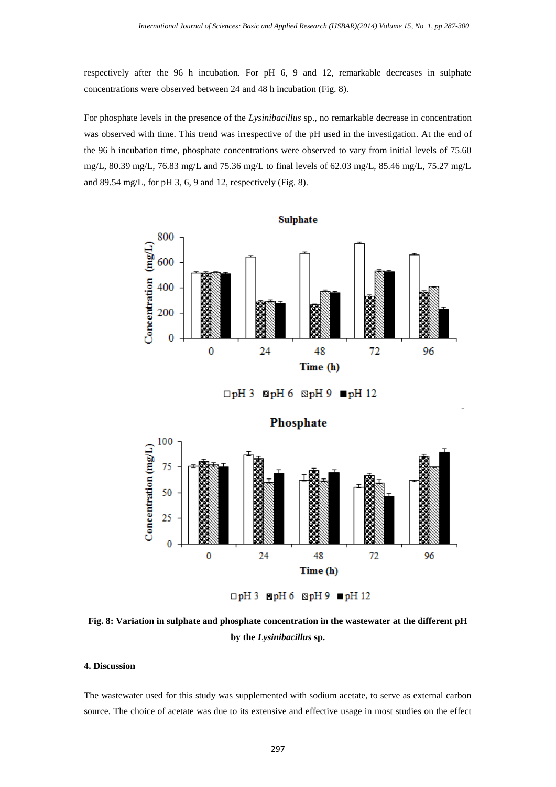respectively after the 96 h incubation. For pH 6, 9 and 12, remarkable decreases in sulphate concentrations were observed between 24 and 48 h incubation (Fig. 8).

For phosphate levels in the presence of the *Lysinibacillus* sp., no remarkable decrease in concentration was observed with time. This trend was irrespective of the pH used in the investigation. At the end of the 96 h incubation time, phosphate concentrations were observed to vary from initial levels of 75.60 mg/L, 80.39 mg/L, 76.83 mg/L and 75.36 mg/L to final levels of 62.03 mg/L, 85.46 mg/L, 75.27 mg/L and 89.54 mg/L, for pH 3, 6, 9 and 12, respectively (Fig. 8).



 $\Box$ pH 3 EpH 6 SpH 9 pH 12

**Fig. 8: Variation in sulphate and phosphate concentration in the wastewater at the different pH by the** *Lysinibacillus* **sp.**

#### **4. Discussion**

The wastewater used for this study was supplemented with sodium acetate, to serve as external carbon source. The choice of acetate was due to its extensive and effective usage in most studies on the effect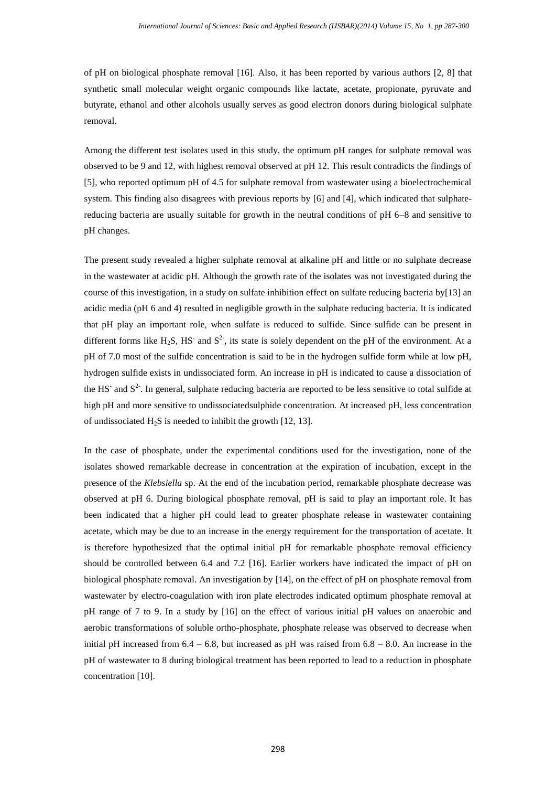of pH on biological phosphate removal [16]. Also, it has been reported by various authors [2, 8] that synthetic small molecular weight organic compounds like lactate, acetate, propionate, pyruvate and butyrate, ethanol and other alcohols usually serves as good electron donors during biological sulphate removal.

Among the different test isolates used in this study, the optimum pH ranges for sulphate removal was observed to be 9 and 12, with highest removal observed at pH 12. This result contradicts the findings of [5], who reported optimum pH of 4.5 for sulphate removal from wastewater using a bioelectrochemical system. This finding also disagrees with previous reports by [6] and [4], which indicated that sulphatereducing bacteria are usually suitable for growth in the neutral conditions of pH 6–8 and sensitive to pH changes.

The present study revealed a higher sulphate removal at alkaline pH and little or no sulphate decrease in the wastewater at acidic pH. Although the growth rate of the isolates was not investigated during the course of this investigation, in a study on sulfate inhibition effect on sulfate reducing bacteria by[13] an acidic media (pH 6 and 4) resulted in negligible growth in the sulphate reducing bacteria. It is indicated that pH play an important role, when sulfate is reduced to sulfide. Since sulfide can be present in different forms like  $H_2S$ , HS<sup>-</sup> and S<sup>2-</sup>, its state is solely dependent on the pH of the environment. At a pH of 7.0 most of the sulfide concentration is said to be in the hydrogen sulfide form while at low pH, hydrogen sulfide exists in undissociated form. An increase in pH is indicated to cause a dissociation of the HS<sup>-</sup> and  $S<sup>2</sup>$ . In general, sulphate reducing bacteria are reported to be less sensitive to total sulfide at high pH and more sensitive to undissociatedsulphide concentration. At increased pH, less concentration of undissociated  $H_2S$  is needed to inhibit the growth [12, 13].

In the case of phosphate, under the experimental conditions used for the investigation, none of the isolates showed remarkable decrease in concentration at the expiration of incubation, except in the presence of the *Klebsiella* sp. At the end of the incubation period, remarkable phosphate decrease was observed at pH 6. During biological phosphate removal, pH is said to play an important role. It has been indicated that a higher pH could lead to greater phosphate release in wastewater containing acetate, which may be due to an increase in the energy requirement for the transportation of acetate. It is therefore hypothesized that the optimal initial pH for remarkable phosphate removal efficiency should be controlled between 6.4 and 7.2 [16]. Earlier workers have indicated the impact of pH on biological phosphate removal. An investigation by [14], on the effect of pH on phosphate removal from wastewater by electro-coagulation with iron plate electrodes indicated optimum phosphate removal at pH range of 7 to 9. In a study by [16] on the effect of various initial pH values on anaerobic and aerobic transformations of soluble ortho-phosphate, phosphate release was observed to decrease when initial pH increased from  $6.4 - 6.8$ , but increased as pH was raised from  $6.8 - 8.0$ . An increase in the pH of wastewater to 8 during biological treatment has been reported to lead to a reduction in phosphate concentration [10].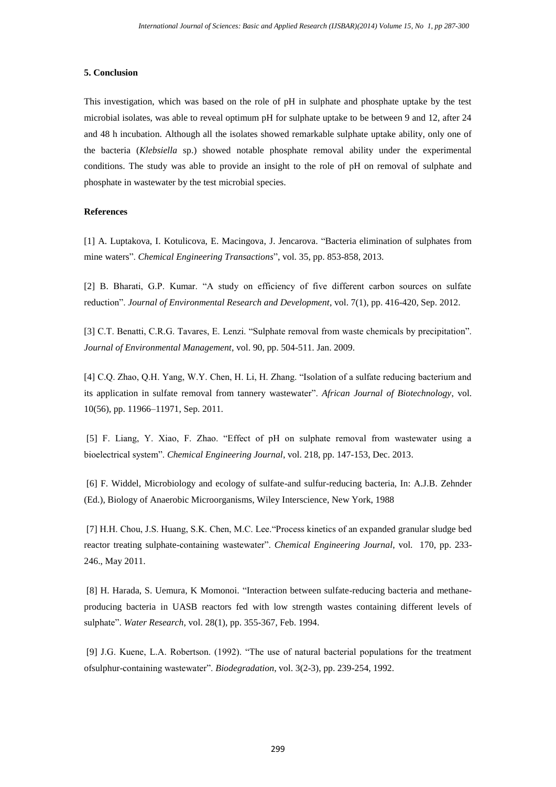## **5. Conclusion**

This investigation, which was based on the role of pH in sulphate and phosphate uptake by the test microbial isolates, was able to reveal optimum pH for sulphate uptake to be between 9 and 12, after 24 and 48 h incubation. Although all the isolates showed remarkable sulphate uptake ability, only one of the bacteria (*Klebsiella* sp.) showed notable phosphate removal ability under the experimental conditions. The study was able to provide an insight to the role of pH on removal of sulphate and phosphate in wastewater by the test microbial species.

## **References**

[1] A. Luptakova, I. Kotulicova, E. Macingova, J. Jencarova. "Bacteria elimination of sulphates from mine waters". *Chemical Engineering Transactions*", vol. 35, pp. 853-858, 2013.

[2] B. Bharati, G.P. Kumar. "A study on efficiency of five different carbon sources on sulfate reduction". *Journal of Environmental Research and Development*, vol. 7(1), pp. 416-420, Sep. 2012.

[3] C.T. Benatti, C.R.G. Tavares, E. Lenzi. "Sulphate removal from waste chemicals by precipitation". *Journal of Environmental Management*, vol. 90, pp. 504-511. Jan. 2009.

[4] C.Q. Zhao, Q.H. Yang, W.Y. Chen, H. Li, H. Zhang. "Isolation of a sulfate reducing bacterium and its application in sulfate removal from tannery wastewater". *African Journal of Biotechnology*, vol. 10(56), pp. 11966–11971, Sep. 2011.

[5] F. Liang, Y. Xiao, F. Zhao. "Effect of pH on sulphate removal from wastewater using a bioelectrical system". *Chemical Engineering Journal*, vol. 218, pp. 147-153, Dec. 2013.

[6] F. Widdel, Microbiology and ecology of sulfate-and sulfur-reducing bacteria, In: A.J.B. Zehnder (Ed.), Biology of Anaerobic Microorganisms, Wiley Interscience, New York, 1988

[7] H.H. Chou, J.S. Huang, S.K. Chen, M.C. Lee."Process kinetics of an expanded granular sludge bed reactor treating sulphate-containing wastewater". *Chemical Engineering Journal*, vol. 170, pp. 233- 246., May 2011.

[8] H. Harada, S. Uemura, K Momonoi. "Interaction between sulfate-reducing bacteria and methaneproducing bacteria in UASB reactors fed with low strength wastes containing different levels of sulphate". *Water Research*, vol. 28(1), pp. 355-367, Feb. 1994.

[9] J.G. Kuene, L.A. Robertson. (1992). "The use of natural bacterial populations for the treatment ofsulphur-containing wastewater". *Biodegradation*, vol. 3(2-3), pp. 239-254, 1992.